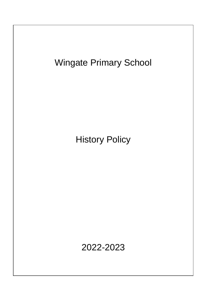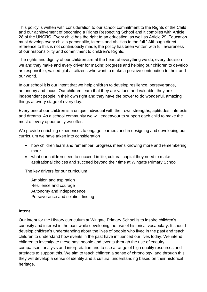This policy is written with consideration to our school commitment to the Rights of the Child and our achievement of becoming a Rights Respecting School and it complies with Article 28 of the UNCRC 'Every child has the right to an education' as well as Article 29 'Education must develop every child's personality, talents and abilities to the full.' Although direct reference to this is not continuously made, the policy has been written with full awareness of our responsibility and commitment to children's Rights.

The rights and dignity of our children are at the heart of everything we do, every decision we and they make and every driver for making progress and helping our children to develop as responsible, valued global citizens who want to make a positive contribution to their and our world.

In our school it is our intent that we help children to develop resilience, perseverance, autonomy and focus. Our children learn that they are valued and valuable, they are independent people in their own right and they have the power to do wonderful, amazing things at every stage of every day.

Every one of our children is a unique individual with their own strengths, aptitudes, interests and dreams. As a school community we will endeavour to support each child to make the most of every opportunity we offer.

We provide enriching experiences to engage learners and in designing and developing our curriculum we have taken into consideration

- how children learn and remember; progress means knowing more and remembering more
- what our children need to succeed in life; cultural capital they need to make aspirational choices and succeed beyond their time at Wingate Primary School.

The key drivers for our curriculum

Ambition and aspiration Resilience and courage Autonomy and independence Perseverance and solution finding

### **Intent**

Our intent for the History curriculum at Wingate Primary School is to inspire children's curiosity and interest in the past while developing the use of historical vocabulary. It should develop children's understanding about the lives of people who lived in the past and teach children to understand how events in the past have influenced our lives today. We intend children to investigate these past people and events through the use of enquiry, comparison, analysis and interpretation and to use a range of high quality resources and artefacts to support this. We aim to teach children a sense of chronology, and through this they will develop a sense of identity and a cultural understanding based on their historical heritage.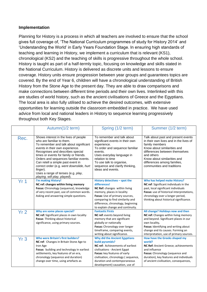### **Implementation**

Planning for History is a process in which all teachers are involved to ensure that the school gives full coverage of, 'The National Curriculum programmes of study for History 2014' and 'Understanding the World' in Early Years Foundation Stage. In ensuring high standards of teaching and learning in History, we implement a curriculum that is relevant (KS1), chronological (KS2) and the teaching of skills is progressive throughout the whole school. History is taught as part of a half-termly topic, focusing on knowledge and skills stated in the National Curriculum. History is delivered as discrete units and lessons to ensure coverage. History units ensure progression between year groups and guarantees topics are covered. By the end of Year 6, children will have a chronological understanding of British History from the Stone Age to the present day. They are able to draw comparisons and make connections between different time periods and their own lives. Interlinked with this are studies of world history, such as the ancient civilisations of Greece and the Egyptians. The local area is also fully utilised to achieve the desired outcomes, with extensive opportunities for learning outside the classroom embedded in practice. We have used advice from local and national leaders in History to sequence learning progressively throughout both Key Stages.

|                 | Autumn(1/2 term)                                                                                                                                                                                                                                                                                                                                                                                                                          | Spring (1/2 term)                                                                                                                                                                                                                                                     | Summer (1/2 term)                                                                                                                                                                                                                                                         |
|-----------------|-------------------------------------------------------------------------------------------------------------------------------------------------------------------------------------------------------------------------------------------------------------------------------------------------------------------------------------------------------------------------------------------------------------------------------------------|-----------------------------------------------------------------------------------------------------------------------------------------------------------------------------------------------------------------------------------------------------------------------|---------------------------------------------------------------------------------------------------------------------------------------------------------------------------------------------------------------------------------------------------------------------------|
| Rec.            | Shows interest in the lives of people<br>who are familiar to them.<br>To remember and talk about significant<br>events in their own experience.<br>Recognises and describes special<br>times or events for family or friends.<br>Orders and sequences familiar events.<br>Can retell a simple past event in<br>correct order (e.g. went downslide, hurt<br>finger).<br>Uses a range of tenses (e.g. play,<br>playing, will play, played). | To remember and talk about<br>significant events in their own<br>experience.<br>To order and sequence familiar<br>events.<br>Uses everyday language in<br>relation to time<br>To use talk to organise,<br>sequence and clarify thinking,<br>ideas and events.         | Talk about past and present events<br>in their own lives and in the lives of<br>family members<br>Know about similarities and<br>differences between themselves<br>and others<br>Know about similarities and<br>differences among families,<br>communities and traditions |
| Yr <sub>1</sub> | I'm making History!<br>NC ref: changes within living memory<br>Focus: Chronology (sequence), knowledge<br>of very recent past, use of common words.<br>Asking and answering simple questions.                                                                                                                                                                                                                                             | History detectives - spot the<br>differences!<br>NC Ref: changes within living<br>memory, places in locality<br>Focus: Use of primary sources,<br>comparing to find similarity and<br>difference, chronology, beginning<br>to explain change and continuity.          | Who has helped make History?<br>NC ref: Significant individuals in the<br>past, local significant individuals<br>Focus: use of historical interpretations,<br>chronology over a longer period,<br>thinking about historical significance.                                 |
| Yr <sub>2</sub> | Why are some places special?<br>NC ref: Significant places in own locality<br>Focus: Thinking about historical<br>significance, using primary sources.                                                                                                                                                                                                                                                                                    | <b>Fantastic Firsts</b><br>NC ref: events beyond living<br>memory that are significant<br>globally or nationally<br>Focus: Chronology over longer<br>timeframe, comparing events,<br>writing about significance.                                                      | All change? Holidays now and then<br>NC ref: Changes within living memory<br>and beyond. Significant places in our<br>own locality.<br>Focus: Identifying and writing about<br>change and its causes. Forming an<br>interpretation, use of primary sources.               |
| Yr3             | <b>Who were Britain's first builders?</b><br>NC ref: Changes in Britain Stone Age to<br>Iron Age<br>Focus: building and technology in earliest<br>settlements, key features of an era,<br>chronology (sequence and duration)<br>change over time, using artefacts as                                                                                                                                                                      | <b>Why did the Ancient Egyptians</b><br>build pyramids?<br>NC ref: Achievements of earliest<br>civilisations - Ancient Egypt<br>Focus: key features of early<br>civilisation, chronology (sequence,<br>duration and contemporaneous<br>development) causation, use of | How have the Greeks shaped my<br>world?<br>NC Ref: Ancient Greece; achievements<br>and influence<br>Focus: Chronology (sequence and<br>duration), key features and individuals<br>of ancient civilisation, consequences,                                                  |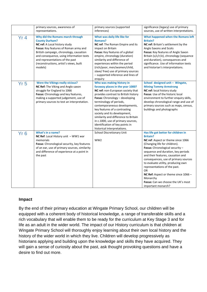|                 | primary sources, awareness of                                                                                                                                                                                                                                                                                       | primary sources (supported                                                                                                                                                                                                                                                                                                                                                                                                                                | significance (legacy) use of primary                                                                                                                                                                                                                                                                                                                                                                                                                                                   |
|-----------------|---------------------------------------------------------------------------------------------------------------------------------------------------------------------------------------------------------------------------------------------------------------------------------------------------------------------|-----------------------------------------------------------------------------------------------------------------------------------------------------------------------------------------------------------------------------------------------------------------------------------------------------------------------------------------------------------------------------------------------------------------------------------------------------------|----------------------------------------------------------------------------------------------------------------------------------------------------------------------------------------------------------------------------------------------------------------------------------------------------------------------------------------------------------------------------------------------------------------------------------------------------------------------------------------|
|                 | representations.                                                                                                                                                                                                                                                                                                    | inferences)                                                                                                                                                                                                                                                                                                                                                                                                                                               | sources, use of written interpretations.                                                                                                                                                                                                                                                                                                                                                                                                                                               |
| Yr 4            | Why did the Romans march through<br><b>County Durham?</b><br>NC ref: A Local history study<br>Focus: Key features of Roman army and<br>British campaign, chronology, causation<br>and consequence, using information texts<br>and representations of the past<br>(reconstructions, artist's views, built<br>models) | What was daily life like for<br>Romans?<br>NC ref: The Roman Empire and its<br>impact on Britain<br>Focus: Key features of a global<br>empire, chronology (duration)<br>similarity and difference of<br>experiences within the period<br>(rich/poor, men/women/child,<br>slave/ free) use of primary sources<br>- supported inference and lines of<br>enquiry                                                                                             | What happened when the Romans left<br><b>Britain?</b><br>NC ref: Britain's settlement by the<br>Anglo Saxons and Scots<br>Focus: Key features of Anglo Saxon<br>Britain (s/c/r/e), chronology (sequence<br>and duration), consequences and<br>significance. Use of information texts<br>and historian's interpretations.                                                                                                                                                               |
| Yr <sub>5</sub> | <b>Were the Vikings really vicious?</b><br>NC Ref: The Viking and Anglo saxon<br>struggle for England to 1066<br>Focus: Chronology and key features,<br>making a supported judgement, use of<br>primary sources to test an interpretation.                                                                          | Who was making history in<br>faraway places in the year 1000?<br>NC ref: non-European society that<br>provides contrast to British history<br>Focus: Chronology - developing<br>terminology of periods,<br>contemporaneous developments,<br>key features of a contrasting<br>society and its development,<br>similarity and difference to Britain<br>in c.1000, use of primary sources,<br>identification of key points in<br>historical interpretations. | School designed unit - Wingate,<br><b>Mining Tommy Armstrong</b><br>NC ref: local history study<br><b>Focus:</b> Use of the historic local<br>environment to further enquiry skills,<br>develop chronological range and use of<br>primary sources such as maps, census,<br>buildings and photographs                                                                                                                                                                                   |
| Yr6             | What's in a name?<br>NC Ref: Local History unit - WW1 war<br>memorials<br>Focus: Chronological security, key features<br>of an ear, use of primary sources, similarity<br>and difference of experience at a point in<br>the past                                                                                    | School Discretionary Unit<br>WW <sub>2</sub>                                                                                                                                                                                                                                                                                                                                                                                                              | Has life got better for children in<br><b>Britain?</b><br>NC ref: Aspect or theme since 1066<br>(Changing life for children).<br>Focus: Chronological security -<br>sequence and duration, key periods<br>and their features, causation and<br>consequences, use of primary sources<br>to evaluate utility, producing own<br>representations of the past.<br><b>OR</b><br>NC Ref: Aspect or theme since 1066 -<br>Monarchy<br>Focus: Can we choose the UK's most<br>important monarch? |

# **Impact**

By the end of their primary education at Wingate Primary School, our children will be equipped with a coherent body of historical knowledge, a range of transferable skills and a rich vocabulary that will enable them to be ready for the curriculum at Key Stage 3 and for life as an adult in the wider world. The impact of our History curriculum is that children at Wingate Primary School will thoroughly enjoy learning about their own local history and the history of the wider world in which they live. Children will develop progressively as historians applying and building upon the knowledge and skills they have acquired. They will gain a sense of curiosity about the past, ask thought provoking questions and have a desire to find out more.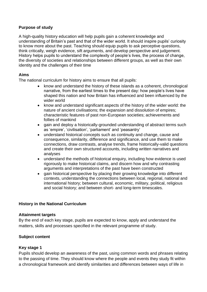### **Purpose of study**

A high-quality history education will help pupils gain a coherent knowledge and understanding of Britain's past and that of the wider world. It should inspire pupils' curiosity to know more about the past. Teaching should equip pupils to ask perceptive questions, think critically, weigh evidence, sift arguments, and develop perspective and judgement. History helps pupils to understand the complexity of people's lives, the process of change, the diversity of societies and relationships between different groups, as well as their own identity and the challenges of their time

#### **Aims**

The national curriculum for history aims to ensure that all pupils:

- know and understand the history of these islands as a coherent, chronological narrative, from the earliest times to the present day: how people's lives have shaped this nation and how Britain has influenced and been influenced by the wider world
- know and understand significant aspects of the history of the wider world: the nature of ancient civilisations; the expansion and dissolution of empires; characteristic features of past non-European societies; achievements and follies of mankind
- gain and deploy a historically-grounded understanding of abstract terms such as 'empire', 'civilisation', 'parliament' and 'peasantry'
- understand historical concepts such as continuity and change, cause and consequence, similarity, difference and significance, and use them to make connections, draw contrasts, analyse trends, frame historically-valid questions and create their own structured accounts, including written narratives and analyses
- understand the methods of historical enquiry, including how evidence is used rigorously to make historical claims, and discern how and why contrasting arguments and interpretations of the past have been constructed
- gain historical perspective by placing their growing knowledge into different contexts, understanding the connections between local, regional, national and international history; between cultural, economic, military, political, religious and social history; and between short- and long-term timescales.

#### **History in the National Curriculum**

#### **Attainment targets**

By the end of each key stage, pupils are expected to know, apply and understand the matters, skills and processes specified in the relevant programme of study.

### **Subject content**

### **Key stage 1**

Pupils should develop an awareness of the past, using common words and phrases relating to the passing of time. They should know where the people and events they study fit within a chronological framework and identify similarities and differences between ways of life in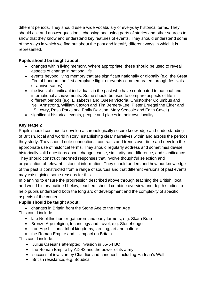different periods. They should use a wide vocabulary of everyday historical terms. They should ask and answer questions, choosing and using parts of stories and other sources to show that they know and understand key features of events. They should understand some of the ways in which we find out about the past and identify different ways in which it is represented.

## **Pupils should be taught about:**

- changes within living memory. Where appropriate, these should be used to reveal aspects of change in national life
- events beyond living memory that are significant nationally or globally (e.g. the Great Fire of London, the first aeroplane flight or events commemorated through festivals or anniversaries)
- the lives of significant individuals in the past who have contributed to national and international achievements. Some should be used to compare aspects of life in different periods (e.g. Elizabeth I and Queen Victoria, Christopher Columbus and Neil Armstrong, William Caxton and Tim Berners-Lee, Pieter Bruegel the Elder and LS Lowry, Rosa Parks and Emily Davison, Mary Seacole and Edith Cavell)
- significant historical events, people and places in their own locality.

### **Key stage 2**

Pupils should continue to develop a chronologically secure knowledge and understanding of British, local and world history, establishing clear narratives within and across the periods they study. They should note connections, contrasts and trends over time and develop the appropriate use of historical terms. They should regularly address and sometimes devise historically valid questions about change, cause, similarity and difference, and significance. They should construct informed responses that involve thoughtful selection and organisation of relevant historical information. They should understand how our knowledge of the past is constructed from a range of sources and that different versions of past events may exist, giving some reasons for this.

In planning to ensure the progression described above through teaching the British, local and world history outlined below, teachers should combine overview and depth studies to help pupils understand both the long arc of development and the complexity of specific aspects of the content.

### **Pupils should be taught about:**

• changes in Britain from the Stone Age to the Iron Age This could include:

- late Neolithic hunter-gatherers and early farmers, e.g. Skara Brae
- Bronze Age religion, technology and travel, e.g. Stonehenge
- Iron Age hill forts: tribal kingdoms, farming, art and culture
- the Roman Empire and its impact on Britain

This could include:

- Julius Caesar's attempted invasion in 55-54 BC
- the Roman Empire by AD 42 and the power of its army
- successful invasion by Claudius and conquest, including Hadrian's Wall
- British resistance, e.g. Boudica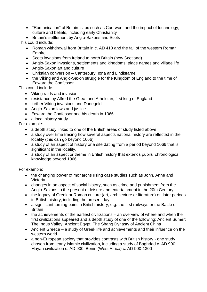• "Romanisation" of Britain: sites such as Caerwent and the impact of technology, culture and beliefs, including early Christianity

• Britain's settlement by Anglo-Saxons and Scots

This could include:

- Roman withdrawal from Britain in c. AD 410 and the fall of the western Roman Empire
- Scots invasions from Ireland to north Britain (now Scotland)
- Anglo-Saxon invasions, settlements and kingdoms: place names and village life
- Anglo-Saxon art and culture
- Christian conversion Canterbury, Iona and Lindisfarne
- the Viking and Anglo-Saxon struggle for the Kingdom of England to the time of Edward the Confessor

This could include:

- Viking raids and invasion
- resistance by Alfred the Great and Athelstan, first king of England
- further Viking invasions and Danegeld
- Anglo-Saxon laws and justice
- Edward the Confessor and his death in 1066
- a local history study

For example:

- a depth study linked to one of the British areas of study listed above
- a study over time tracing how several aspects national history are reflected in the locality (this can go beyond 1066)
- a study of an aspect of history or a site dating from a period beyond 1066 that is significant in the locality.
- a study of an aspect or theme in British history that extends pupils' chronological knowledge beyond 1066

For example:

- the changing power of monarchs using case studies such as John, Anne and Victoria
- changes in an aspect of social history, such as crime and punishment from the Anglo-Saxons to the present or leisure and entertainment in the 20th Century
- the legacy of Greek or Roman culture (art, architecture or literature) on later periods in British history, including the present day
- a significant turning point in British history, e.g. the first railways or the Battle of Britain
- the achievements of the earliest civilizations an overview of where and when the first civilizations appeared and a depth study of one of the following: Ancient Sumer; The Indus Valley; Ancient Egypt; The Shang Dynasty of Ancient China
- Ancient Greece a study of Greek life and achievements and their influence on the western world
- a non-European society that provides contrasts with British history one study chosen from: early Islamic civilization, including a study of Baghdad c. AD 900; Mayan civilization c. AD 900; Benin (West Africa) c. AD 900-1300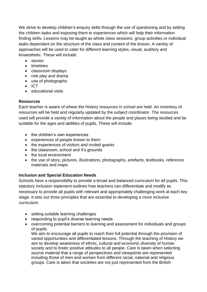We strive to develop children's enquiry skills through the use of questioning and by setting the children tasks and exposing them to experiences which will help their information finding skills. Lessons may be taught as whole class sessions, group activities or individual tasks dependant on the structure of the class and content of the lesson. A variety of approaches will be used to cater for different learning styles, visual, auditory and kinaesthetic. These will include:

- stories
- timelines
- classroom displays
- role play and drama
- use of photographs
- ICT
- educational visits

# **Resources**

Each teacher is aware of where the History resources in school are held. An inventory of resources will be held and regularly updated by the subject coordinator. The resources used will provide a variety of information about the people and places being studied and be suitable for the ages and abilities of pupils. These will include:

- the children's own experiences
- experiences of people known to them
- the experiences of visitors and invited quests
- the classroom, school and it's grounds
- the local environment
- the use of story, pictures, illustrations, photographs, artefacts, textbooks, reference materials and maps

# **Inclusion and Special Education Needs**

Schools have a responsibility to provide a broad and balanced curriculum for all pupils. This statutory inclusion statement outlines how teachers can differentiate and modify as necessary to provide all pupils with relevant and appropriately challenging work at each key stage. It sets out three principles that are essential to developing a more inclusive curriculum.

- setting suitable learning challenges
- responding to pupil's diverse learning needs
- overcoming potential barriers to learning and assessment for individuals and groups of pupils

We aim to encourage all pupils to reach their full potential through the provision of varied opportunities and differentiated lessons. Through the teaching of History we aim to develop awareness of ethnic, cultural and economic diversity of human society and to foster positive attitudes to all people. Care is taken when selecting source material that a range of perspectives and viewpoints are represented including those of men and women from different racial, national and religious groups. Care is taken that societies are not just represented from the British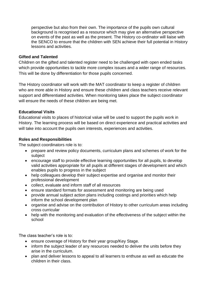perspective but also from their own. The importance of the pupils own cultural background is recognised as a resource which may give an alternative perspective on events of the past as well as the present. The History co-ordinator will liaise with the SENCO to ensure that the children with SEN achieve their full potential in History lessons and activities.

### **Gifted and Talented**

Children on the gifted and talented register need to be challenged with open ended tasks which provide opportunities to tackle more complex issues and a wider range of resources. This will be done by differentiation for those pupils concerned.

The History coordinator will work with the MAT coordinator to keep a register of children who are more able in History and ensure these children and class teachers receive relevant support and differentiated activities. When monitoring takes place the subject coordinator will ensure the needs of these children are being met.

#### **Educational Visits**

Educational visits to places of historical value will be used to support the pupils work in History. The learning process will be based on direct experience and practical activities and will take into account the pupils own interests, experiences and activities.

### **Roles and Responsibilities**

The subject coordinators role is to:

- prepare and review policy documents, curriculum plans and schemes of work for the subject
- encourage staff to provide effective learning opportunities for all pupils, to develop valid activities appropriate for all pupils at different stages of development and which enables pupils to progress in the subject
- help colleagues develop their subject expertise and organise and monitor their professional development
- collect, evaluate and inform staff of all resources
- ensure standard formats for assessment and monitoring are being used
- provide annual subject action plans including costings and priorities which help inform the school development plan
- organise and advise on the contribution of History to other curriculum areas including cross curricular
- help with the monitoring and evaluation of the effectiveness of the subject within the school

The class teacher's role is to:

- ensure coverage of History for their year group/Key Stage.
- inform the subject leader of any resources needed to deliver the units before they arise in the curriculum.
- plan and deliver lessons to appeal to all learners to enthuse as well as educate the children in their class.